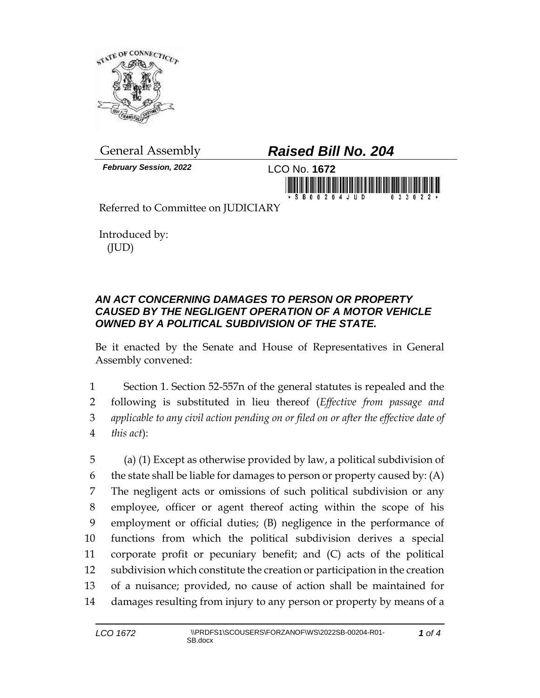

*February Session, 2022* LCO No. **1672**

## General Assembly *Raised Bill No. 204*



Referred to Committee on JUDICIARY

Introduced by: (JUD)

## *AN ACT CONCERNING DAMAGES TO PERSON OR PROPERTY CAUSED BY THE NEGLIGENT OPERATION OF A MOTOR VEHICLE OWNED BY A POLITICAL SUBDIVISION OF THE STATE.*

Be it enacted by the Senate and House of Representatives in General Assembly convened:

 Section 1. Section 52-557n of the general statutes is repealed and the following is substituted in lieu thereof (*Effective from passage and applicable to any civil action pending on or filed on or after the effective date of this act*):

 (a) (1) Except as otherwise provided by law, a political subdivision of 6 the state shall be liable for damages to person or property caused by:  $(A)$  The negligent acts or omissions of such political subdivision or any employee, officer or agent thereof acting within the scope of his employment or official duties; (B) negligence in the performance of functions from which the political subdivision derives a special corporate profit or pecuniary benefit; and (C) acts of the political subdivision which constitute the creation or participation in the creation of a nuisance; provided, no cause of action shall be maintained for damages resulting from injury to any person or property by means of a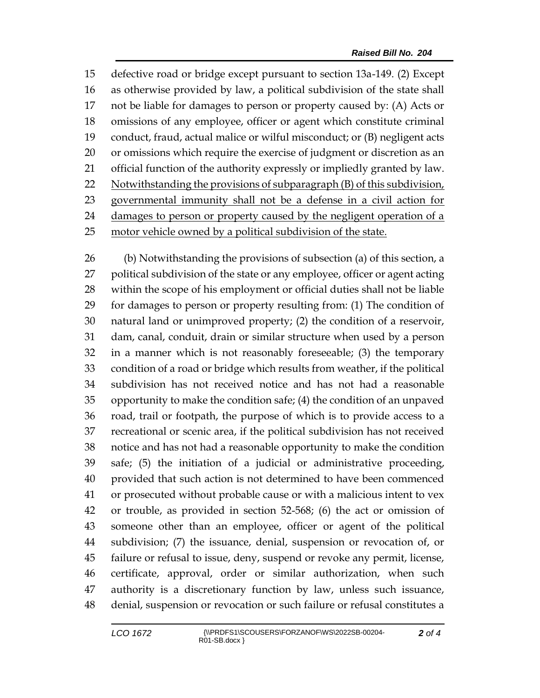defective road or bridge except pursuant to section 13a-149. (2) Except as otherwise provided by law, a political subdivision of the state shall not be liable for damages to person or property caused by: (A) Acts or omissions of any employee, officer or agent which constitute criminal conduct, fraud, actual malice or wilful misconduct; or (B) negligent acts or omissions which require the exercise of judgment or discretion as an official function of the authority expressly or impliedly granted by law. Notwithstanding the provisions of subparagraph (B) of this subdivision, governmental immunity shall not be a defense in a civil action for damages to person or property caused by the negligent operation of a motor vehicle owned by a political subdivision of the state.

 (b) Notwithstanding the provisions of subsection (a) of this section, a political subdivision of the state or any employee, officer or agent acting within the scope of his employment or official duties shall not be liable for damages to person or property resulting from: (1) The condition of natural land or unimproved property; (2) the condition of a reservoir, dam, canal, conduit, drain or similar structure when used by a person in a manner which is not reasonably foreseeable; (3) the temporary condition of a road or bridge which results from weather, if the political subdivision has not received notice and has not had a reasonable opportunity to make the condition safe; (4) the condition of an unpaved road, trail or footpath, the purpose of which is to provide access to a recreational or scenic area, if the political subdivision has not received notice and has not had a reasonable opportunity to make the condition safe; (5) the initiation of a judicial or administrative proceeding, provided that such action is not determined to have been commenced or prosecuted without probable cause or with a malicious intent to vex or trouble, as provided in section 52-568; (6) the act or omission of someone other than an employee, officer or agent of the political subdivision; (7) the issuance, denial, suspension or revocation of, or failure or refusal to issue, deny, suspend or revoke any permit, license, certificate, approval, order or similar authorization, when such authority is a discretionary function by law, unless such issuance, denial, suspension or revocation or such failure or refusal constitutes a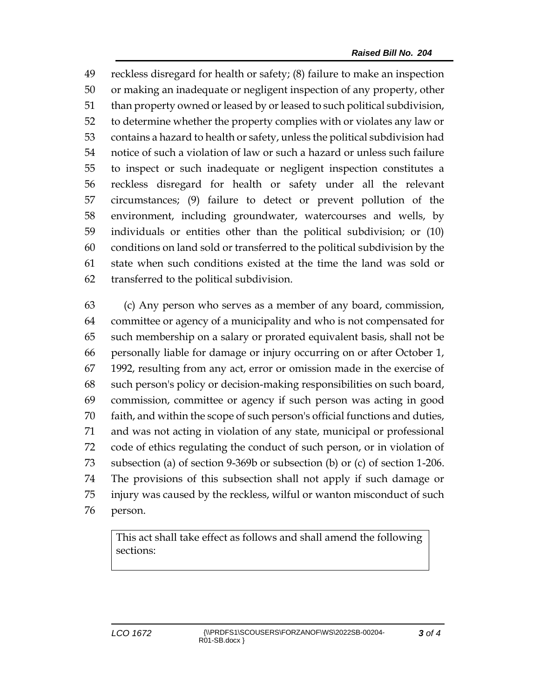reckless disregard for health or safety; (8) failure to make an inspection or making an inadequate or negligent inspection of any property, other than property owned or leased by or leased to such political subdivision, to determine whether the property complies with or violates any law or contains a hazard to health or safety, unless the political subdivision had notice of such a violation of law or such a hazard or unless such failure to inspect or such inadequate or negligent inspection constitutes a reckless disregard for health or safety under all the relevant circumstances; (9) failure to detect or prevent pollution of the environment, including groundwater, watercourses and wells, by individuals or entities other than the political subdivision; or (10) conditions on land sold or transferred to the political subdivision by the state when such conditions existed at the time the land was sold or transferred to the political subdivision.

 (c) Any person who serves as a member of any board, commission, committee or agency of a municipality and who is not compensated for such membership on a salary or prorated equivalent basis, shall not be personally liable for damage or injury occurring on or after October 1, 1992, resulting from any act, error or omission made in the exercise of such person's policy or decision-making responsibilities on such board, commission, committee or agency if such person was acting in good faith, and within the scope of such person's official functions and duties, and was not acting in violation of any state, municipal or professional code of ethics regulating the conduct of such person, or in violation of subsection (a) of section 9-369b or subsection (b) or (c) of section 1-206. The provisions of this subsection shall not apply if such damage or injury was caused by the reckless, wilful or wanton misconduct of such person.

This act shall take effect as follows and shall amend the following sections: